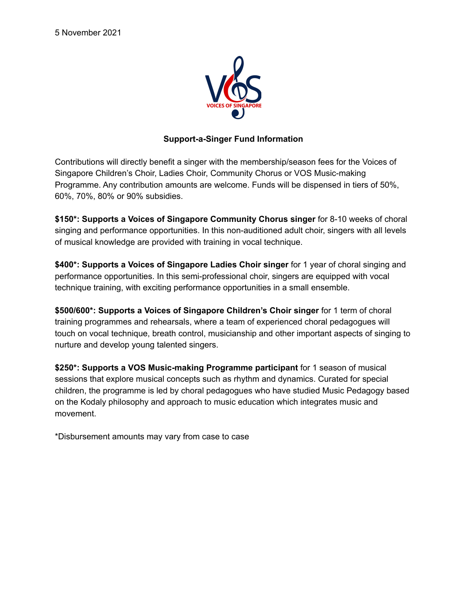

# **Support-a-Singer Fund Information**

Contributions will directly benefit a singer with the membership/season fees for the Voices of Singapore Children's Choir, Ladies Choir, Community Chorus or VOS Music-making Programme. Any contribution amounts are welcome. Funds will be dispensed in tiers of 50%, 60%, 70%, 80% or 90% subsidies.

**\$150\*: Supports a Voices of Singapore Community Chorus singer** for 8-10 weeks of choral singing and performance opportunities. In this non-auditioned adult choir, singers with all levels of musical knowledge are provided with training in vocal technique.

**\$400\*: Supports a Voices of Singapore Ladies Choir singer** for 1 year of choral singing and performance opportunities. In this semi-professional choir, singers are equipped with vocal technique training, with exciting performance opportunities in a small ensemble.

**\$500/600\*: Supports a Voices of Singapore Children's Choir singer** for 1 term of choral training programmes and rehearsals, where a team of experienced choral pedagogues will touch on vocal technique, breath control, musicianship and other important aspects of singing to nurture and develop young talented singers.

**\$250\*: Supports a VOS Music-making Programme participant** for 1 season of musical sessions that explore musical concepts such as rhythm and dynamics. Curated for special children, the programme is led by choral pedagogues who have studied Music Pedagogy based on the Kodaly philosophy and approach to music education which integrates music and movement.

\*Disbursement amounts may vary from case to case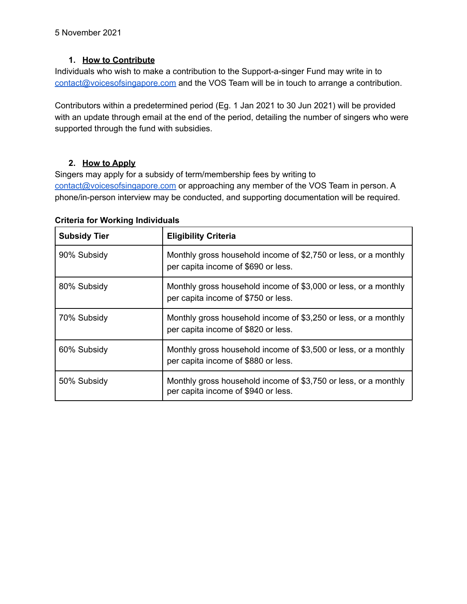## **1. How to Contribute**

Individuals who wish to make a contribution to the Support-a-singer Fund may write in to [contact@voicesofsingapore.com](mailto:contact@voicesofsingapore.com) and the VOS Team will be in touch to arrange a contribution.

Contributors within a predetermined period (Eg. 1 Jan 2021 to 30 Jun 2021) will be provided with an update through email at the end of the period, detailing the number of singers who were supported through the fund with subsidies.

### **2. How to Apply**

Singers may apply for a subsidy of term/membership fees by writing to [contact@voicesofsingapore.com](mailto:contact@voicesofsingapore.com) or approaching any member of the VOS Team in person. A phone/in-person interview may be conducted, and supporting documentation will be required.

| <b>Subsidy Tier</b> | <b>Eligibility Criteria</b>                                                                            |
|---------------------|--------------------------------------------------------------------------------------------------------|
| 90% Subsidy         | Monthly gross household income of \$2,750 or less, or a monthly<br>per capita income of \$690 or less. |
| 80% Subsidy         | Monthly gross household income of \$3,000 or less, or a monthly<br>per capita income of \$750 or less. |
| 70% Subsidy         | Monthly gross household income of \$3,250 or less, or a monthly<br>per capita income of \$820 or less. |
| 60% Subsidy         | Monthly gross household income of \$3,500 or less, or a monthly<br>per capita income of \$880 or less. |
| 50% Subsidy         | Monthly gross household income of \$3,750 or less, or a monthly<br>per capita income of \$940 or less. |

#### **Criteria for Working Individuals**